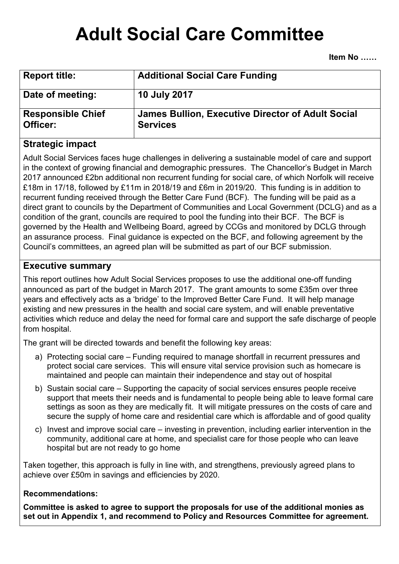# **Adult Social Care Committee**

**Item No** 

| <b>Report title:</b>                 | <b>Additional Social Care Funding</b>                                       |
|--------------------------------------|-----------------------------------------------------------------------------|
| Date of meeting:                     | <b>10 July 2017</b>                                                         |
| <b>Responsible Chief</b><br>Officer: | <b>James Bullion, Executive Director of Adult Social</b><br><b>Services</b> |

## **Strategic impact**

Adult Social Services faces huge challenges in delivering a sustainable model of care and support in the context of growing financial and demographic pressures. The Chancellor's Budget in March 2017 announced £2bn additional non recurrent funding for social care, of which Norfolk will receive £18m in 17/18, followed by £11m in 2018/19 and £6m in 2019/20. This funding is in addition to recurrent funding received through the Better Care Fund (BCF). The funding will be paid as a direct grant to councils by the Department of Communities and Local Government (DCLG) and as a condition of the grant, councils are required to pool the funding into their BCF. The BCF is governed by the Health and Wellbeing Board, agreed by CCGs and monitored by DCLG through an assurance process. Final guidance is expected on the BCF, and following agreement by the Council's committees, an agreed plan will be submitted as part of our BCF submission.

## **Executive summary**

This report outlines how Adult Social Services proposes to use the additional one-off funding announced as part of the budget in March 2017. The grant amounts to some £35m over three years and effectively acts as a 'bridge' to the Improved Better Care Fund. It will help manage existing and new pressures in the health and social care system, and will enable preventative activities which reduce and delay the need for formal care and support the safe discharge of people from hospital.

The grant will be directed towards and benefit the following key areas:

- a) Protecting social care Funding required to manage shortfall in recurrent pressures and protect social care services. This will ensure vital service provision such as homecare is maintained and people can maintain their independence and stay out of hospital
- b) Sustain social care Supporting the capacity of social services ensures people receive support that meets their needs and is fundamental to people being able to leave formal care settings as soon as they are medically fit. It will mitigate pressures on the costs of care and secure the supply of home care and residential care which is affordable and of good quality
- c) Invest and improve social care investing in prevention, including earlier intervention in the community, additional care at home, and specialist care for those people who can leave hospital but are not ready to go home

Taken together, this approach is fully in line with, and strengthens, previously agreed plans to achieve over £50m in savings and efficiencies by 2020.

## **Recommendations:**

**Committee is asked to agree to support the proposals for use of the additional monies as set out in Appendix 1, and recommend to Policy and Resources Committee for agreement.**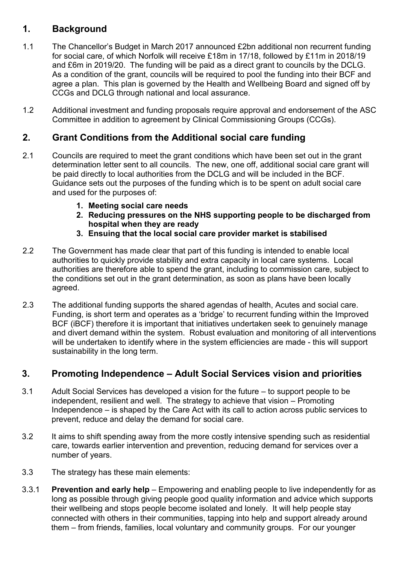## **1. Background**

- 1.1 The Chancellor's Budget in March 2017 announced £2bn additional non recurrent funding for social care, of which Norfolk will receive £18m in 17/18, followed by £11m in 2018/19 and £6m in 2019/20. The funding will be paid as a direct grant to councils by the DCLG. As a condition of the grant, councils will be required to pool the funding into their BCF and agree a plan. This plan is governed by the Health and Wellbeing Board and signed off by CCGs and DCLG through national and local assurance.
- 1.2 Additional investment and funding proposals require approval and endorsement of the ASC Committee in addition to agreement by Clinical Commissioning Groups (CCGs).

## **2. Grant Conditions from the Additional social care funding**

- 2.1 Councils are required to meet the grant conditions which have been set out in the grant determination letter sent to all councils. The new, one off, additional social care grant will be paid directly to local authorities from the DCLG and will be included in the BCF. Guidance sets out the purposes of the funding which is to be spent on adult social care and used for the purposes of:
	- **1. Meeting social care needs**
	- **2. Reducing pressures on the NHS supporting people to be discharged from hospital when they are ready**
	- **3. Ensuing that the local social care provider market is stabilised**
- 2.2 The Government has made clear that part of this funding is intended to enable local authorities to quickly provide stability and extra capacity in local care systems. Local authorities are therefore able to spend the grant, including to commission care, subject to the conditions set out in the grant determination, as soon as plans have been locally agreed.
- 2.3 The additional funding supports the shared agendas of health, Acutes and social care. Funding, is short term and operates as a 'bridge' to recurrent funding within the Improved BCF (iBCF) therefore it is important that initiatives undertaken seek to genuinely manage and divert demand within the system. Robust evaluation and monitoring of all interventions will be undertaken to identify where in the system efficiencies are made - this will support sustainability in the long term.

## **3. Promoting Independence – Adult Social Services vision and priorities**

- 3.1 Adult Social Services has developed a vision for the future to support people to be independent, resilient and well. The strategy to achieve that vision – Promoting Independence – is shaped by the Care Act with its call to action across public services to prevent, reduce and delay the demand for social care.
- 3.2 It aims to shift spending away from the more costly intensive spending such as residential care, towards earlier intervention and prevention, reducing demand for services over a number of years.
- 3.3 The strategy has these main elements:
- 3.3.1 **Prevention and early help** Empowering and enabling people to live independently for as long as possible through giving people good quality information and advice which supports their wellbeing and stops people become isolated and lonely. It will help people stay connected with others in their communities, tapping into help and support already around them – from friends, families, local voluntary and community groups. For our younger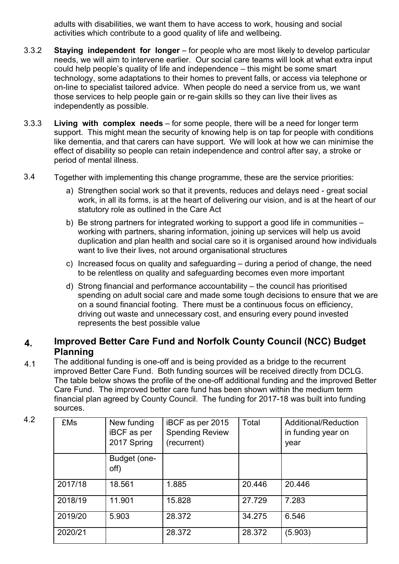adults with disabilities, we want them to have access to work, housing and social activities which contribute to a good quality of life and wellbeing.

- 3.3.2 **Staying independent for longer** – for people who are most likely to develop particular needs, we will aim to intervene earlier. Our social care teams will look at what extra input could help people's quality of life and independence – this might be some smart technology, some adaptations to their homes to prevent falls, or access via telephone or on-line to specialist tailored advice. When people do need a service from us, we want those services to help people gain or re-gain skills so they can live their lives as independently as possible.
- 3.3.3 **Living with complex needs** – for some people, there will be a need for longer term support. This might mean the security of knowing help is on tap for people with conditions like dementia, and that carers can have support. We will look at how we can minimise the effect of disability so people can retain independence and control after say, a stroke or period of mental illness.
- 3.4 Together with implementing this change programme, these are the service priorities:
	- a) Strengthen social work so that it prevents, reduces and delays need great social work, in all its forms, is at the heart of delivering our vision, and is at the heart of our statutory role as outlined in the Care Act
	- b) Be strong partners for integrated working to support a good life in communities working with partners, sharing information, joining up services will help us avoid duplication and plan health and social care so it is organised around how individuals want to live their lives, not around organisational structures
	- c) Increased focus on quality and safeguarding during a period of change, the need to be relentless on quality and safeguarding becomes even more important
	- d) Strong financial and performance accountability the council has prioritised spending on adult social care and made some tough decisions to ensure that we are on a sound financial footing. There must be a continuous focus on efficiency, driving out waste and unnecessary cost, and ensuring every pound invested represents the best possible value

## **4. Improved Better Care Fund and Norfolk County Council (NCC) Budget Planning**

4.1 The additional funding is one-off and is being provided as a bridge to the recurrent improved Better Care Fund. Both funding sources will be received directly from DCLG. The table below shows the profile of the one-off additional funding and the improved Better Care Fund. The improved better care fund has been shown within the medium term financial plan agreed by County Council. The funding for 2017-18 was built into funding sources.

| 4.2 | <b>£Ms</b> | New funding<br><b>iBCF</b> as per<br>2017 Spring | iBCF as per 2015<br><b>Spending Review</b><br>(recurrent) | Total  | Additional/Reduction<br>in funding year on<br>year |
|-----|------------|--------------------------------------------------|-----------------------------------------------------------|--------|----------------------------------------------------|
|     |            | Budget (one-<br>off)                             |                                                           |        |                                                    |
|     | 2017/18    | 18.561                                           | 1.885                                                     | 20.446 | 20.446                                             |
|     | 2018/19    | 11.901                                           | 15.828                                                    | 27.729 | 7.283                                              |
|     | 2019/20    | 5.903                                            | 28.372                                                    | 34.275 | 6.546                                              |
|     | 2020/21    |                                                  | 28.372                                                    | 28.372 | (5.903)                                            |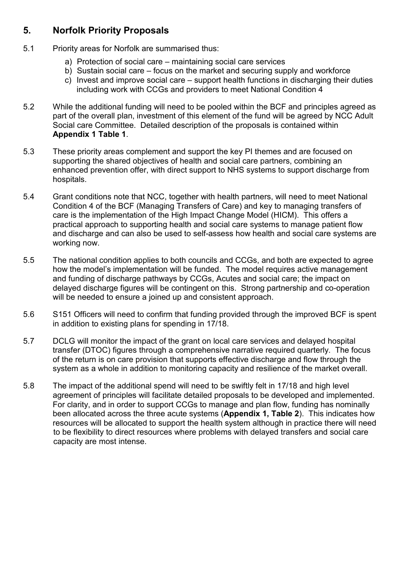## **5. Norfolk Priority Proposals**

- 5.1 Priority areas for Norfolk are summarised thus:
	- a) Protection of social care maintaining social care services
	- b) Sustain social care focus on the market and securing supply and workforce
	- c) Invest and improve social care support health functions in discharging their duties including work with CCGs and providers to meet National Condition 4
- 5.2 While the additional funding will need to be pooled within the BCF and principles agreed as part of the overall plan, investment of this element of the fund will be agreed by NCC Adult Social care Committee. Detailed description of the proposals is contained within **Appendix 1 Table 1**.
- 5.3 These priority areas complement and support the key PI themes and are focused on supporting the shared objectives of health and social care partners, combining an enhanced prevention offer, with direct support to NHS systems to support discharge from hospitals.
- 5.4 Grant conditions note that NCC, together with health partners, will need to meet National Condition 4 of the BCF (Managing Transfers of Care) and key to managing transfers of care is the implementation of the High Impact Change Model (HICM). This offers a practical approach to supporting health and social care systems to manage patient flow and discharge and can also be used to self-assess how health and social care systems are working now.
- 5.5 The national condition applies to both councils and CCGs, and both are expected to agree how the model's implementation will be funded. The model requires active management and funding of discharge pathways by CCGs, Acutes and social care; the impact on delayed discharge figures will be contingent on this. Strong partnership and co-operation will be needed to ensure a joined up and consistent approach.
- 5.6 S151 Officers will need to confirm that funding provided through the improved BCF is spent in addition to existing plans for spending in 17/18.
- 5.7 DCLG will monitor the impact of the grant on local care services and delayed hospital transfer (DTOC) figures through a comprehensive narrative required quarterly. The focus of the return is on care provision that supports effective discharge and flow through the system as a whole in addition to monitoring capacity and resilience of the market overall.
- 5.8 The impact of the additional spend will need to be swiftly felt in 17/18 and high level agreement of principles will facilitate detailed proposals to be developed and implemented. For clarity, and in order to support CCGs to manage and plan flow, funding has nominally been allocated across the three acute systems (**Appendix 1, Table 2**). This indicates how resources will be allocated to support the health system although in practice there will need to be flexibility to direct resources where problems with delayed transfers and social care capacity are most intense.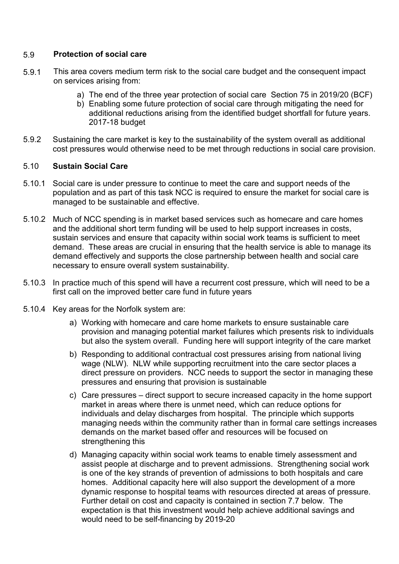#### 5.9 **Protection of social care**

- 5.9.1 This area covers medium term risk to the social care budget and the consequent impact on services arising from:
	- a) The end of the three year protection of social care Section 75 in 2019/20 (BCF)
	- b) Enabling some future protection of social care through mitigating the need for additional reductions arising from the identified budget shortfall for future years. 2017-18 budget
- 5.9.2 Sustaining the care market is key to the sustainability of the system overall as additional cost pressures would otherwise need to be met through reductions in social care provision.

### 5.10 **Sustain Social Care**

- 5.10.1 Social care is under pressure to continue to meet the care and support needs of the population and as part of this task NCC is required to ensure the market for social care is managed to be sustainable and effective.
- 5.10.2 Much of NCC spending is in market based services such as homecare and care homes and the additional short term funding will be used to help support increases in costs, sustain services and ensure that capacity within social work teams is sufficient to meet demand. These areas are crucial in ensuring that the health service is able to manage its demand effectively and supports the close partnership between health and social care necessary to ensure overall system sustainability.
- 5.10.3 In practice much of this spend will have a recurrent cost pressure, which will need to be a first call on the improved better care fund in future years
- 5.10.4 Key areas for the Norfolk system are:
	- a) Working with homecare and care home markets to ensure sustainable care provision and managing potential market failures which presents risk to individuals but also the system overall. Funding here will support integrity of the care market
	- b) Responding to additional contractual cost pressures arising from national living wage (NLW). NLW while supporting recruitment into the care sector places a direct pressure on providers. NCC needs to support the sector in managing these pressures and ensuring that provision is sustainable
	- c) Care pressures direct support to secure increased capacity in the home support market in areas where there is unmet need, which can reduce options for individuals and delay discharges from hospital. The principle which supports managing needs within the community rather than in formal care settings increases demands on the market based offer and resources will be focused on strengthening this
	- d) Managing capacity within social work teams to enable timely assessment and assist people at discharge and to prevent admissions. Strengthening social work is one of the key strands of prevention of admissions to both hospitals and care homes. Additional capacity here will also support the development of a more dynamic response to hospital teams with resources directed at areas of pressure. Further detail on cost and capacity is contained in section 7.7 below. The expectation is that this investment would help achieve additional savings and would need to be self-financing by 2019-20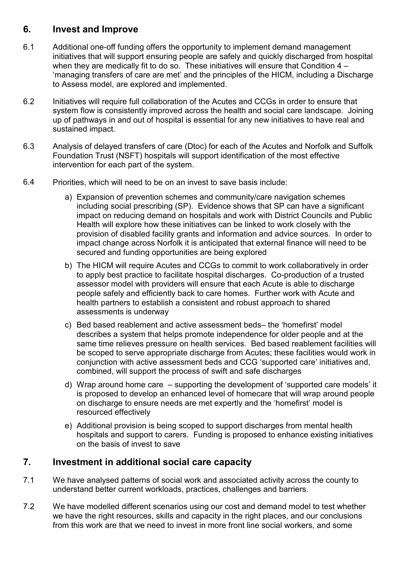## **6. Invest and Improve**

- 6.1 Additional one-off funding offers the opportunity to implement demand management initiatives that will support ensuring people are safely and quickly discharged from hospital when they are medically fit to do so. These initiatives will ensure that Condition 4 – 'managing transfers of care are met' and the principles of the HICM, including a Discharge to Assess model, are explored and implemented.
- 6.2 Initiatives will require full collaboration of the Acutes and CCGs in order to ensure that system flow is consistently improved across the health and social care landscape. Joining up of pathways in and out of hospital is essential for any new initiatives to have real and sustained impact.
- 6.3 Analysis of delayed transfers of care (Dtoc) for each of the Acutes and Norfolk and Suffolk Foundation Trust (NSFT) hospitals will support identification of the most effective intervention for each part of the system.
- 6.4 Priorities, which will need to be on an invest to save basis include:
	- a) Expansion of prevention schemes and community/care navigation schemes including social prescribing (SP). Evidence shows that SP can have a significant impact on reducing demand on hospitals and work with District Councils and Public Health will explore how these initiatives can be linked to work closely with the provision of disabled facility grants and information and advice sources. In order to impact change across Norfolk it is anticipated that external finance will need to be secured and funding opportunities are being explored
	- b) The HICM will require Acutes and CCGs to commit to work collaboratively in order to apply best practice to facilitate hospital discharges. Co-production of a trusted assessor model with providers will ensure that each Acute is able to discharge people safely and efficiently back to care homes. Further work with Acute and health partners to establish a consistent and robust approach to shared assessments is underway
	- c) Bed based reablement and active assessment beds– the 'homefirst' model describes a system that helps promote independence for older people and at the same time relieves pressure on health services. Bed based reablement facilities will be scoped to serve appropriate discharge from Acutes; these facilities would work in conjunction with active assessment beds and CCG 'supported care' initiatives and, combined, will support the process of swift and safe discharges
	- d) Wrap around home care supporting the development of 'supported care models' it is proposed to develop an enhanced level of homecare that will wrap around people on discharge to ensure needs are met expertly and the 'homefirst' model is resourced effectively
	- e) Additional provision is being scoped to support discharges from mental health hospitals and support to carers. Funding is proposed to enhance existing initiatives on the basis of invest to save

## **7. Investment in additional social care capacity**

- 7.1 We have analysed patterns of social work and associated activity across the county to understand better current workloads, practices, challenges and barriers.
- 7.2 We have modelled different scenarios using our cost and demand model to test whether we have the right resources, skills and capacity in the right places, and our conclusions from this work are that we need to invest in more front line social workers, and some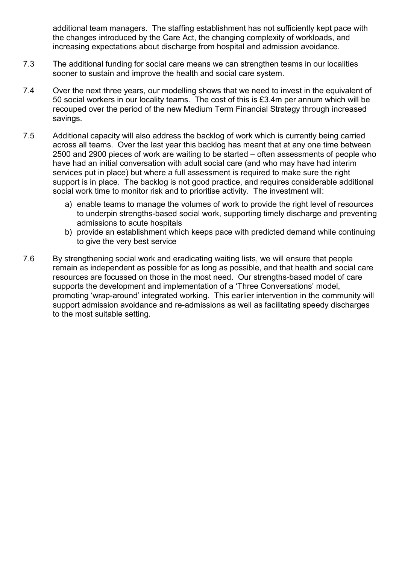additional team managers. The staffing establishment has not sufficiently kept pace with the changes introduced by the Care Act, the changing complexity of workloads, and increasing expectations about discharge from hospital and admission avoidance.

- 7.3 The additional funding for social care means we can strengthen teams in our localities sooner to sustain and improve the health and social care system.
- 7.4 Over the next three years, our modelling shows that we need to invest in the equivalent of 50 social workers in our locality teams. The cost of this is £3.4m per annum which will be recouped over the period of the new Medium Term Financial Strategy through increased savings.
- 7.5 Additional capacity will also address the backlog of work which is currently being carried across all teams. Over the last year this backlog has meant that at any one time between 2500 and 2900 pieces of work are waiting to be started – often assessments of people who have had an initial conversation with adult social care (and who may have had interim services put in place) but where a full assessment is required to make sure the right support is in place. The backlog is not good practice, and requires considerable additional social work time to monitor risk and to prioritise activity. The investment will:
	- a) enable teams to manage the volumes of work to provide the right level of resources to underpin strengths-based social work, supporting timely discharge and preventing admissions to acute hospitals
	- b) provide an establishment which keeps pace with predicted demand while continuing to give the very best service
- 7.6 By strengthening social work and eradicating waiting lists, we will ensure that people remain as independent as possible for as long as possible, and that health and social care resources are focussed on those in the most need. Our strengths-based model of care supports the development and implementation of a 'Three Conversations' model, promoting 'wrap-around' integrated working. This earlier intervention in the community will support admission avoidance and re-admissions as well as facilitating speedy discharges to the most suitable setting.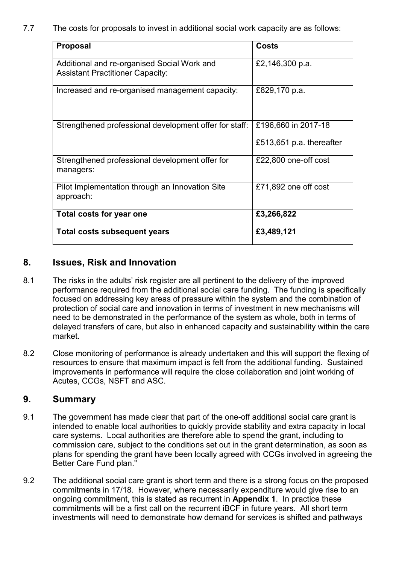7.7 The costs for proposals to invest in additional social work capacity are as follows:

| <b>Proposal</b>                                                                        | <b>Costs</b>                                    |
|----------------------------------------------------------------------------------------|-------------------------------------------------|
| Additional and re-organised Social Work and<br><b>Assistant Practitioner Capacity:</b> | £2,146,300 p.a.                                 |
| Increased and re-organised management capacity:                                        | £829,170 p.a.                                   |
| Strengthened professional development offer for staff:                                 | £196,660 in 2017-18<br>£513,651 p.a. thereafter |
| Strengthened professional development offer for<br>managers:                           | £22,800 one-off cost                            |
| Pilot Implementation through an Innovation Site<br>approach:                           | £71,892 one off cost                            |
| Total costs for year one                                                               | £3,266,822                                      |
| <b>Total costs subsequent years</b>                                                    | £3,489,121                                      |

## **8. Issues, Risk and Innovation**

- 8.1 The risks in the adults' risk register are all pertinent to the delivery of the improved performance required from the additional social care funding. The funding is specifically focused on addressing key areas of pressure within the system and the combination of protection of social care and innovation in terms of investment in new mechanisms will need to be demonstrated in the performance of the system as whole, both in terms of delayed transfers of care, but also in enhanced capacity and sustainability within the care market.
- 8.2 Close monitoring of performance is already undertaken and this will support the flexing of resources to ensure that maximum impact is felt from the additional funding. Sustained improvements in performance will require the close collaboration and joint working of Acutes, CCGs, NSFT and ASC.

## **9. Summary**

- 9.1 The government has made clear that part of the one-off additional social care grant is intended to enable local authorities to quickly provide stability and extra capacity in local care systems. Local authorities are therefore able to spend the grant, including to commission care, subject to the conditions set out in the grant determination, as soon as plans for spending the grant have been locally agreed with CCGs involved in agreeing the Better Care Fund plan."
- 9.2 The additional social care grant is short term and there is a strong focus on the proposed commitments in 17/18. However, where necessarily expenditure would give rise to an ongoing commitment, this is stated as recurrent in **Appendix 1**. In practice these commitments will be a first call on the recurrent iBCF in future years. All short term investments will need to demonstrate how demand for services is shifted and pathways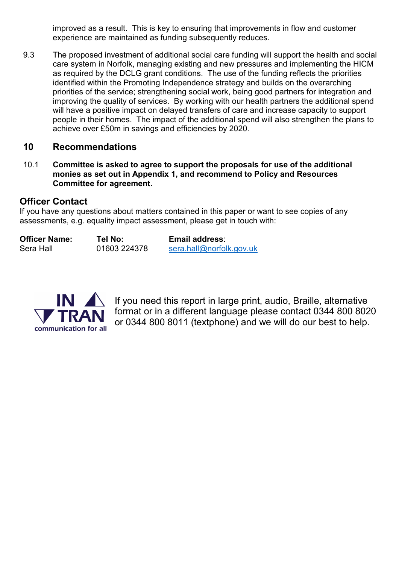improved as a result. This is key to ensuring that improvements in flow and customer experience are maintained as funding subsequently reduces.

9.3 The proposed investment of additional social care funding will support the health and social care system in Norfolk, managing existing and new pressures and implementing the HICM as required by the DCLG grant conditions. The use of the funding reflects the priorities identified within the Promoting Independence strategy and builds on the overarching priorities of the service; strengthening social work, being good partners for integration and improving the quality of services. By working with our health partners the additional spend will have a positive impact on delayed transfers of care and increase capacity to support people in their homes. The impact of the additional spend will also strengthen the plans to achieve over £50m in savings and efficiencies by 2020.

## **10 Recommendations**

10.1 **Committee is asked to agree to support the proposals for use of the additional monies as set out in Appendix 1, and recommend to Policy and Resources Committee for agreement.**

## **Officer Contact**

If you have any questions about matters contained in this paper or want to see copies of any assessments, e.g. equality impact assess[ment, please get in touch](mailto:sera.hall@norfolk.gov.uk) with:

| <b>Officer Name:</b> | Tel No:      | <b>Email address:</b>    |
|----------------------|--------------|--------------------------|
| Sera Hall            | 01603 224378 | sera.hall@norfolk.gov.uk |



If you need this report in large print, audio, Braille, alternative format or in a different language please contact 0344 800 8020 or 0344 800 8011 (textphone) and we will do our best to help.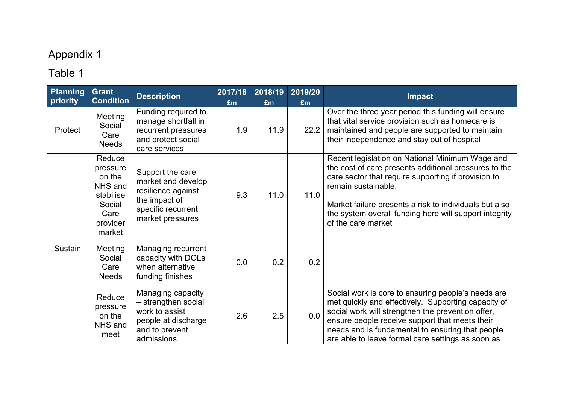# Appendix 1

# Table 1

| Planning<br>priority | <b>Grant</b><br><b>Condition</b>                                                             | <b>Description</b>                                                                                                      | 2017/18   | 2018/19    | 2019/20    | <b>Impact</b>                                                                                                                                                                                                                                                                                                                    |
|----------------------|----------------------------------------------------------------------------------------------|-------------------------------------------------------------------------------------------------------------------------|-----------|------------|------------|----------------------------------------------------------------------------------------------------------------------------------------------------------------------------------------------------------------------------------------------------------------------------------------------------------------------------------|
| Protect              | Meeting<br>Social<br>Care<br><b>Needs</b>                                                    | Funding required to<br>manage shortfall in<br>recurrent pressures<br>and protect social<br>care services                | £m<br>1.9 | £m<br>11.9 | £m<br>22.2 | Over the three year period this funding will ensure<br>that vital service provision such as homecare is<br>maintained and people are supported to maintain<br>their independence and stay out of hospital                                                                                                                        |
|                      | Reduce<br>pressure<br>on the<br>NHS and<br>stabilise<br>Social<br>Care<br>provider<br>market | Support the care<br>market and develop<br>resilience against<br>the impact of<br>specific recurrent<br>market pressures | 9.3       | 11.0       | 11.0       | Recent legislation on National Minimum Wage and<br>the cost of care presents additional pressures to the<br>care sector that require supporting if provision to<br>remain sustainable.<br>Market failure presents a risk to individuals but also<br>the system overall funding here will support integrity<br>of the care market |
| Sustain              | Meeting<br>Social<br>Care<br><b>Needs</b>                                                    | Managing recurrent<br>capacity with DOLs<br>when alternative<br>funding finishes                                        | 0.0       | 0.2        | 0.2        |                                                                                                                                                                                                                                                                                                                                  |
|                      | Reduce<br>pressure<br>on the<br>NHS and<br>meet                                              | Managing capacity<br>- strengthen social<br>work to assist<br>people at discharge<br>and to prevent<br>admissions       | 2.6       | 2.5        | 0.0        | Social work is core to ensuring people's needs are<br>met quickly and effectively. Supporting capacity of<br>social work will strengthen the prevention offer,<br>ensure people receive support that meets their<br>needs and is fundamental to ensuring that people<br>are able to leave formal care settings as soon as        |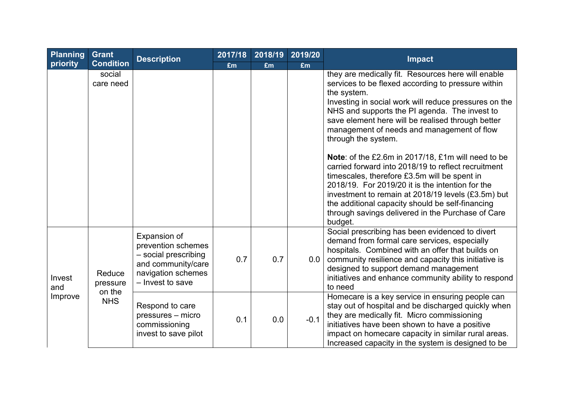| <b>Planning</b> | Grant                | <b>Description</b>                                                                                                         | 2017/18 | 2018/19 | 2019/20 | Impact                                                                                                                                                                                                                                                                                                                                                                                  |  |
|-----------------|----------------------|----------------------------------------------------------------------------------------------------------------------------|---------|---------|---------|-----------------------------------------------------------------------------------------------------------------------------------------------------------------------------------------------------------------------------------------------------------------------------------------------------------------------------------------------------------------------------------------|--|
| priority        | <b>Condition</b>     |                                                                                                                            | £m      | £m      | £m      |                                                                                                                                                                                                                                                                                                                                                                                         |  |
|                 | social<br>care need  |                                                                                                                            |         |         |         | they are medically fit. Resources here will enable<br>services to be flexed according to pressure within<br>the system.<br>Investing in social work will reduce pressures on the<br>NHS and supports the PI agenda. The invest to<br>save element here will be realised through better<br>management of needs and management of flow<br>through the system.                             |  |
|                 |                      |                                                                                                                            |         |         |         | Note: of the £2.6m in 2017/18, £1m will need to be<br>carried forward into 2018/19 to reflect recruitment<br>timescales, therefore £3.5m will be spent in<br>2018/19. For 2019/20 it is the intention for the<br>investment to remain at 2018/19 levels (£3.5m) but<br>the additional capacity should be self-financing<br>through savings delivered in the Purchase of Care<br>budget. |  |
| Invest<br>and   | Reduce<br>pressure   | Expansion of<br>prevention schemes<br>- social prescribing<br>and community/care<br>navigation schemes<br>- Invest to save | 0.7     | 0.7     | 0.0     | Social prescribing has been evidenced to divert<br>demand from formal care services, especially<br>hospitals. Combined with an offer that builds on<br>community resilience and capacity this initiative is<br>designed to support demand management<br>initiatives and enhance community ability to respond<br>to need                                                                 |  |
| Improve         | on the<br><b>NHS</b> | Respond to care<br>pressures – micro<br>commissioning<br>invest to save pilot                                              | 0.1     | 0.0     | $-0.1$  | Homecare is a key service in ensuring people can<br>stay out of hospital and be discharged quickly when<br>they are medically fit. Micro commissioning<br>initiatives have been shown to have a positive<br>impact on homecare capacity in similar rural areas.<br>Increased capacity in the system is designed to be                                                                   |  |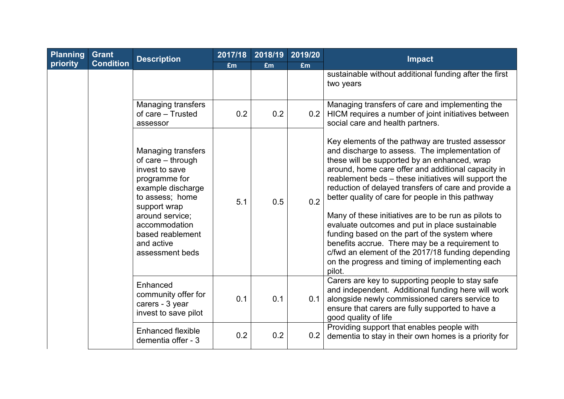| <b>Planning</b> | <b>Grant</b>     | <b>Description</b>                                                                                                                                                                                                                 | 2017/18 | 2018/19 | 2019/20 | <b>Impact</b>                                                                                                                                                                                                                                                                                                                                                                                                                                                                                                                                                                                                                                                                                                |
|-----------------|------------------|------------------------------------------------------------------------------------------------------------------------------------------------------------------------------------------------------------------------------------|---------|---------|---------|--------------------------------------------------------------------------------------------------------------------------------------------------------------------------------------------------------------------------------------------------------------------------------------------------------------------------------------------------------------------------------------------------------------------------------------------------------------------------------------------------------------------------------------------------------------------------------------------------------------------------------------------------------------------------------------------------------------|
| priority        | <b>Condition</b> |                                                                                                                                                                                                                                    | £m      | £m      | £m      |                                                                                                                                                                                                                                                                                                                                                                                                                                                                                                                                                                                                                                                                                                              |
|                 |                  |                                                                                                                                                                                                                                    |         |         |         | sustainable without additional funding after the first<br>two years                                                                                                                                                                                                                                                                                                                                                                                                                                                                                                                                                                                                                                          |
|                 |                  | Managing transfers<br>of care - Trusted<br>assessor                                                                                                                                                                                | 0.2     | 0.2     | 0.2     | Managing transfers of care and implementing the<br>HICM requires a number of joint initiatives between<br>social care and health partners.                                                                                                                                                                                                                                                                                                                                                                                                                                                                                                                                                                   |
|                 |                  | <b>Managing transfers</b><br>of care - through<br>invest to save<br>programme for<br>example discharge<br>to assess; home<br>support wrap<br>around service;<br>accommodation<br>based reablement<br>and active<br>assessment beds | 5.1     | 0.5     | 0.2     | Key elements of the pathway are trusted assessor<br>and discharge to assess. The implementation of<br>these will be supported by an enhanced, wrap<br>around, home care offer and additional capacity in<br>reablement beds - these initiatives will support the<br>reduction of delayed transfers of care and provide a<br>better quality of care for people in this pathway<br>Many of these initiatives are to be run as pilots to<br>evaluate outcomes and put in place sustainable<br>funding based on the part of the system where<br>benefits accrue. There may be a requirement to<br>c/fwd an element of the 2017/18 funding depending<br>on the progress and timing of implementing each<br>pilot. |
|                 |                  | Enhanced<br>community offer for<br>carers - 3 year<br>invest to save pilot                                                                                                                                                         | 0.1     | 0.1     | 0.1     | Carers are key to supporting people to stay safe<br>and independent. Additional funding here will work<br>alongside newly commissioned carers service to<br>ensure that carers are fully supported to have a<br>good quality of life                                                                                                                                                                                                                                                                                                                                                                                                                                                                         |
|                 |                  | <b>Enhanced flexible</b><br>dementia offer - 3                                                                                                                                                                                     | 0.2     | 0.2     | 0.2     | Providing support that enables people with<br>dementia to stay in their own homes is a priority for                                                                                                                                                                                                                                                                                                                                                                                                                                                                                                                                                                                                          |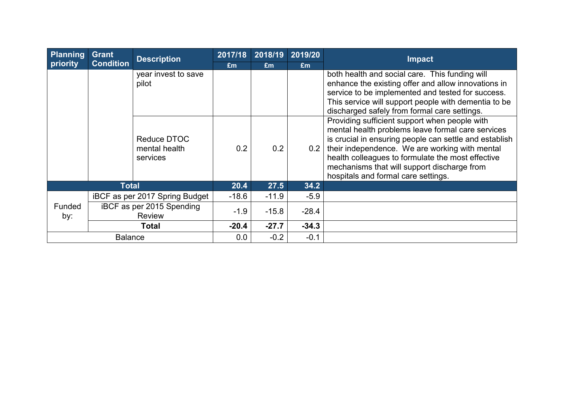| Planning | <b>Grant</b>     | <b>Description</b>             | 2017/18 | 2018/19 | 2019/20 | <b>Impact</b>                                                                                      |
|----------|------------------|--------------------------------|---------|---------|---------|----------------------------------------------------------------------------------------------------|
| priority | <b>Condition</b> |                                | £m      | £m      | £m      |                                                                                                    |
|          |                  | year invest to save            |         |         |         | both health and social care. This funding will                                                     |
|          |                  | pilot                          |         |         |         | enhance the existing offer and allow innovations in                                                |
|          |                  |                                |         |         |         | service to be implemented and tested for success.                                                  |
|          |                  |                                |         |         |         | This service will support people with dementia to be                                               |
|          |                  |                                |         |         |         | discharged safely from formal care settings.                                                       |
|          |                  |                                |         |         |         | Providing sufficient support when people with<br>mental health problems leave formal care services |
|          |                  | Reduce DTOC                    |         |         |         | is crucial in ensuring people can settle and establish                                             |
|          |                  | mental health                  | 0.2     | 0.2     | 0.2     | their independence. We are working with mental                                                     |
|          |                  | services                       |         |         |         | health colleagues to formulate the most effective                                                  |
|          |                  |                                |         |         |         | mechanisms that will support discharge from                                                        |
|          |                  |                                |         |         |         | hospitals and formal care settings.                                                                |
|          | <b>Total</b>     |                                | 20.4    | 27.5    | 34.2    |                                                                                                    |
|          |                  | iBCF as per 2017 Spring Budget | $-18.6$ | $-11.9$ | $-5.9$  |                                                                                                    |
| Funded   |                  | iBCF as per 2015 Spending      | $-1.9$  | $-15.8$ | $-28.4$ |                                                                                                    |
| by:      |                  | <b>Review</b>                  |         |         |         |                                                                                                    |
|          |                  | <b>Total</b>                   | $-20.4$ | $-27.7$ | $-34.3$ |                                                                                                    |
|          | <b>Balance</b>   |                                | 0.0     | $-0.2$  | $-0.1$  |                                                                                                    |